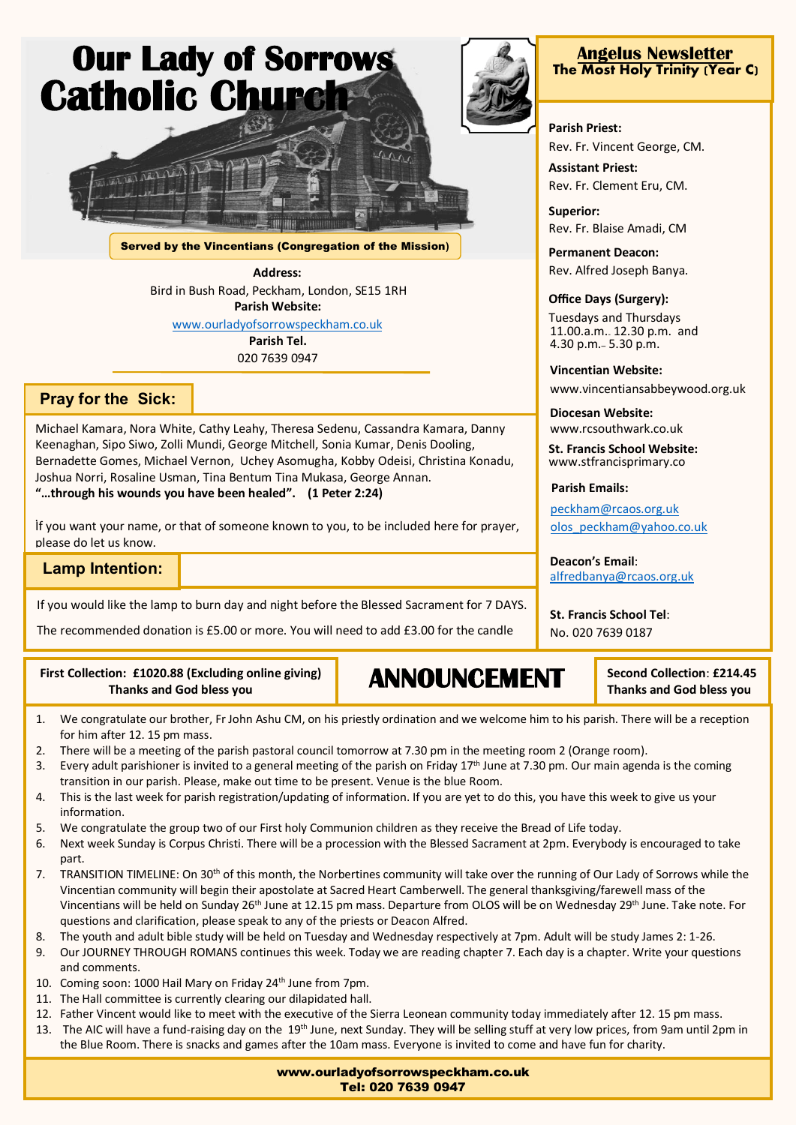

Served by the Vincentians (Congregation of the Mission**)**

**Address:** Bird in Bush Road, Peckham, London, SE15 1RH **Parish Website:** [www.ourladyofsorrowspeckham.co.uk](http://www.ourladyofsorrowspeckham.co.uk/) **Parish Tel.** 020 7639 0947

## **Pray for the Sick:**

Michael Kamara, Nora White, Cathy Leahy, Theresa Sedenu, Cassandra Kamara, Danny Keenaghan, Sipo Siwo, Zolli Mundi, George Mitchell, Sonia Kumar, Denis Dooling, Bernadette Gomes, Michael Vernon, Uchey Asomugha, Kobby Odeisi, Christina Konadu, Joshua Norri, Rosaline Usman, Tina Bentum Tina Mukasa, George Annan. **"…through his wounds you have been healed". (1 Peter 2:24)**

. If you want your name, or that of someone known to you, to be included here for prayer, please do let us know.

**Lamp Intention:**

 Contact the office on 020 7639 0947 or peckham@rcaos.org.uk If you would like the lamp to burn day and night before the Blessed Sacrament for 7 DAYS.

The recommended donation is £5.00 or more. You will need to add £3.00 for the candle

## **First Collection: £1020.88 (Excluding online giving) Thanks and God bless you**

**ANNOUNCEMENT**

**Second Collection**: **£214.45 Thanks and God bless you**

- 1. We congratulate our brother, Fr John Ashu CM, on his priestly ordination and we welcome him to his parish. There will be a reception for him after 12. 15 pm mass.
- 2. There will be a meeting of the parish pastoral council tomorrow at 7.30 pm in the meeting room 2 (Orange room).
- 3. Every adult parishioner is invited to a general meeting of the parish on Friday 17<sup>th</sup> June at 7.30 pm. Our main agenda is the coming transition in our parish. Please, make out time to be present. Venue is the blue Room.
- 4. This is the last week for parish registration/updating of information. If you are yet to do this, you have this week to give us your information.
- 5. We congratulate the group two of our First holy Communion children as they receive the Bread of Life today.
- 6. Next week Sunday is Corpus Christi. There will be a procession with the Blessed Sacrament at 2pm. Everybody is encouraged to take part.
- 7. TRANSITION TIMELINE: On 30<sup>th</sup> of this month, the Norbertines community will take over the running of Our Lady of Sorrows while the Vincentian community will begin their apostolate at Sacred Heart Camberwell. The general thanksgiving/farewell mass of the Vincentians will be held on Sunday 26<sup>th</sup> June at 12.15 pm mass. Departure from OLOS will be on Wednesday 29<sup>th</sup> June. Take note. For questions and clarification, please speak to any of the priests or Deacon Alfred.
- 8. The youth and adult bible study will be held on Tuesday and Wednesday respectively at 7pm. Adult will be study James 2: 1-26.
- 9. Our JOURNEY THROUGH ROMANS continues this week. Today we are reading chapter 7. Each day is a chapter. Write your questions and comments.
- 10. Coming soon: 1000 Hail Mary on Friday 24<sup>th</sup> June from 7pm.
- 11. The Hall committee is currently clearing our dilapidated hall.
- 12. Father Vincent would like to meet with the executive of the Sierra Leonean community today immediately after 12. 15 pm mass.
- 13. The AIC will have a fund-raising day on the 19<sup>th</sup> June, next Sunday. They will be selling stuff at very low prices, from 9am until 2pm in the Blue Room. There is snacks and games after the 10am mass. Everyone is invited to come and have fun for charity.



**Parish Priest:** Rev. Fr. Vincent George, CM.

**Assistant Priest:** Rev. Fr. Clement Eru, CM.

**Superior:** Rev. Fr. Blaise Amadi, CM

**Permanent Deacon:** Rev. Alfred Joseph Banya.

## **Office Days (Surgery):**

Tuesdays and Thursdays 11.00.a.m.- 12.30 p.m. and 4.30 p.m.– 5.30 p.m.

**Vincentian Website:**

www.vincentiansabbeywood.org.uk

**Diocesan Website:** www.rcsouthwark.co.uk

**St. Francis School Website:** www.stfrancisprimary.co

**Parish Emails:**

[peckham@rcaos.org.uk](mailto:peckham@rcaos.org.uk) [olos\\_peckham@yahoo.co.uk](mailto:olos_peckham@yahoo.co.uk)

**Deacon's Email**: [alfredbanya@rcaos.org.uk](mailto:alfredbanya@rcaos.org.uk)

**St. Francis School Tel**: No. 020 7639 0187

www.ourladyofsorrowspeckham.co.uk Tel: 020 7639 0947